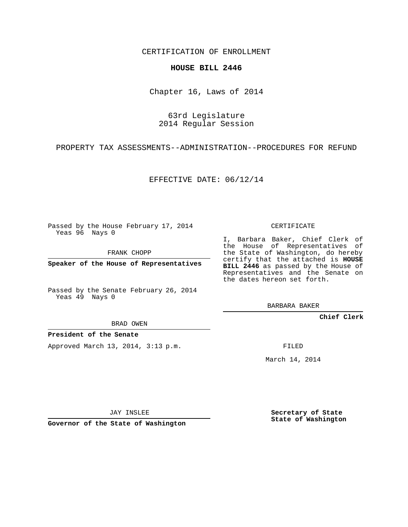CERTIFICATION OF ENROLLMENT

#### **HOUSE BILL 2446**

Chapter 16, Laws of 2014

63rd Legislature 2014 Regular Session

PROPERTY TAX ASSESSMENTS--ADMINISTRATION--PROCEDURES FOR REFUND

### EFFECTIVE DATE: 06/12/14

Passed by the House February 17, 2014 Yeas 96 Nays 0

FRANK CHOPP

**Speaker of the House of Representatives**

Passed by the Senate February 26, 2014 Yeas 49 Nays 0

BRAD OWEN

#### **President of the Senate**

Approved March 13, 2014, 3:13 p.m.

CERTIFICATE

I, Barbara Baker, Chief Clerk of the House of Representatives of the State of Washington, do hereby certify that the attached is **HOUSE BILL 2446** as passed by the House of Representatives and the Senate on the dates hereon set forth.

BARBARA BAKER

**Chief Clerk**

FILED

March 14, 2014

JAY INSLEE

**Governor of the State of Washington**

**Secretary of State State of Washington**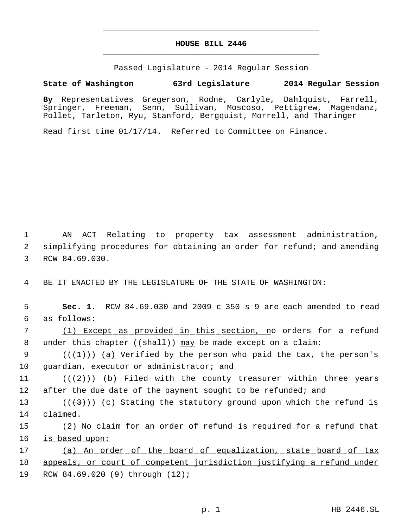# **HOUSE BILL 2446** \_\_\_\_\_\_\_\_\_\_\_\_\_\_\_\_\_\_\_\_\_\_\_\_\_\_\_\_\_\_\_\_\_\_\_\_\_\_\_\_\_\_\_\_\_

\_\_\_\_\_\_\_\_\_\_\_\_\_\_\_\_\_\_\_\_\_\_\_\_\_\_\_\_\_\_\_\_\_\_\_\_\_\_\_\_\_\_\_\_\_

Passed Legislature - 2014 Regular Session

## **State of Washington 63rd Legislature 2014 Regular Session**

**By** Representatives Gregerson, Rodne, Carlyle, Dahlquist, Farrell, Springer, Freeman, Senn, Sullivan, Moscoso, Pettigrew, Magendanz, Pollet, Tarleton, Ryu, Stanford, Bergquist, Morrell, and Tharinger

Read first time 01/17/14. Referred to Committee on Finance.

 1 AN ACT Relating to property tax assessment administration, 2 simplifying procedures for obtaining an order for refund; and amending 3 RCW 84.69.030.

4 BE IT ENACTED BY THE LEGISLATURE OF THE STATE OF WASHINGTON:

 5 **Sec. 1.** RCW 84.69.030 and 2009 c 350 s 9 are each amended to read 6 as follows: 7 (1) Except as provided in this section, no orders for a refund 8 under this chapter ( $(\text{shall})$ ) may be made except on a claim: 9 ( $(\{+1\})$ ) (a) Verified by the person who paid the tax, the person's 10 guardian, executor or administrator; and 11 ( $(\frac{2}{2})$ ) (b) Filed with the county treasurer within three years

12 after the due date of the payment sought to be refunded; and

13 ( $(\langle 3 \rangle)$ ) (c) Stating the statutory ground upon which the refund is 14 claimed.

15 (2) No claim for an order of refund is required for a refund that 16 is based upon:

17 (a) An order of the board of equalization, state board of tax 18 appeals, or court of competent jurisdiction justifying a refund under 19 RCW 84.69.020 (9) through (12);